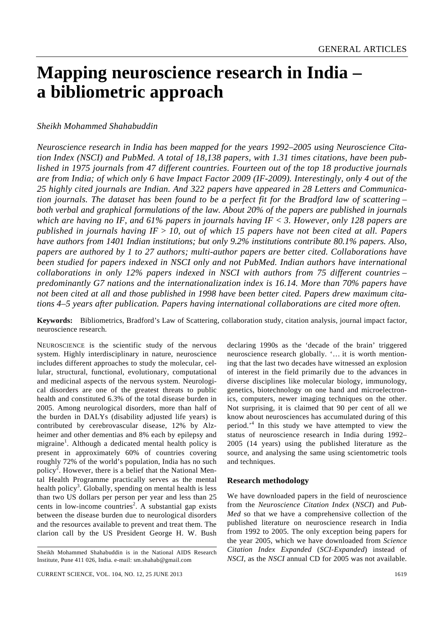# **Mapping neuroscience research in India – a bibliometric approach**

# *Sheikh Mohammed Shahabuddin*

*Neuroscience research in India has been mapped for the years 1992–2005 using Neuroscience Citation Index (NSCI) and PubMed. A total of 18,138 papers, with 1.31 times citations, have been published in 1975 journals from 47 different countries. Fourteen out of the top 18 productive journals are from India; of which only 6 have Impact Factor 2009 (IF-2009). Interestingly, only 4 out of the 25 highly cited journals are Indian. And 322 papers have appeared in 28 Letters and Communication journals. The dataset has been found to be a perfect fit for the Bradford law of scattering – both verbal and graphical formulations of the law. About 20% of the papers are published in journals which are having no IF, and 61% papers in journals having IF < 3. However, only 128 papers are published in journals having IF > 10, out of which 15 papers have not been cited at all. Papers have authors from 1401 Indian institutions; but only 9.2% institutions contribute 80.1% papers. Also, papers are authored by 1 to 27 authors; multi-author papers are better cited. Collaborations have been studied for papers indexed in NSCI only and not PubMed. Indian authors have international collaborations in only 12% papers indexed in NSCI with authors from 75 different countries – predominantly G7 nations and the internationalization index is 16.14. More than 70% papers have not been cited at all and those published in 1998 have been better cited. Papers drew maximum citations 4–5 years after publication. Papers having international collaborations are cited more often.* 

**Keywords:** Bibliometrics, Bradford's Law of Scattering, collaboration study, citation analysis, journal impact factor, neuroscience research.

NEUROSCIENCE is the scientific study of the nervous system. Highly interdisciplinary in nature, neuroscience includes different approaches to study the molecular, cellular, structural, functional, evolutionary, computational and medicinal aspects of the nervous system. Neurological disorders are one of the greatest threats to public health and constituted 6.3% of the total disease burden in 2005. Among neurological disorders, more than half of the burden in DALYs (disability adjusted life years) is contributed by cerebrovascular disease, 12% by Alzheimer and other dementias and 8% each by epilepsy and migraine<sup>1</sup>. Although a dedicated mental health policy is present in approximately 60% of countries covering roughly 72% of the world's population, India has no such policy<sup>2</sup>. However, there is a belief that the National Mental Health Programme practically serves as the mental health policy<sup>3</sup>. Globally, spending on mental health is less than two US dollars per person per year and less than 25 cents in low-income countries<sup>2</sup>. A substantial gap exists between the disease burden due to neurological disorders and the resources available to prevent and treat them. The clarion call by the US President George H. W. Bush

declaring 1990s as the 'decade of the brain' triggered neuroscience research globally. '… it is worth mentioning that the last two decades have witnessed an explosion of interest in the field primarily due to the advances in diverse disciplines like molecular biology, immunology, genetics, biotechnology on one hand and microelectronics, computers, newer imaging techniques on the other. Not surprising, it is claimed that 90 per cent of all we know about neurosciences has accumulated during of this period.'<sup>4</sup> In this study we have attempted to view the status of neuroscience research in India during 1992– 2005 (14 years) using the published literature as the source, and analysing the same using scientometric tools and techniques.

#### **Research methodology**

We have downloaded papers in the field of neuroscience from the *Neuroscience Citation Index* (*NSCI*) and *Pub-Med* so that we have a comprehensive collection of the published literature on neuroscience research in India from 1992 to 2005. The only exception being papers for the year 2005, which we have downloaded from *Science Citation Index Expanded* (*SCI-Expanded*) instead of *NSCI*, as the *NSCI* annual CD for 2005 was not available.

Sheikh Mohammed Shahabuddin is in the National AIDS Research Institute, Pune 411 026, India. e-mail: sm.shahab@gmail.com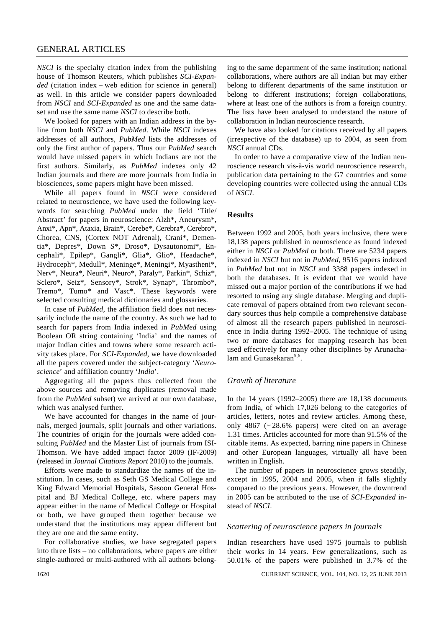# GENERAL ARTICLES

*NSCI* is the specialty citation index from the publishing house of Thomson Reuters, which publishes *SCI-Expanded* (citation index – web edition for science in general) as well. In this article we consider papers downloaded from *NSCI* and *SCI-Expanded* as one and the same dataset and use the same name *NSCI* to describe both.

 We looked for papers with an Indian address in the byline from both *NSCI* and *PubMed*. While *NSCI* indexes addresses of all authors, *PubMed* lists the addresses of only the first author of papers. Thus our *PubMed* search would have missed papers in which Indians are not the first authors. Similarly, as *PubMed* indexes only 42 Indian journals and there are more journals from India in biosciences, some papers might have been missed.

 While all papers found in *NSCI* were considered related to neuroscience, we have used the following keywords for searching *PubMed* under the field 'Title/ Abstract' for papers in neuroscience: Alzh\*, Aneurysm\*, Anxi\*, Apn\*, Ataxia, Brain\*, Cerebe\*, Cerebra\*, Cerebro\*, Chorea, CNS, (Cortex NOT Adrenal), Crani\*, Dementia\*, Depres\*, Down S\*, Droso\*, Dysautonomi\*, Encephali\*, Epilep\*, Gangli\*, Glia\*, Glio\*, Headache\*, Hydroceph\*, Medull\*, Meninge\*, Meningi\*, Myastheni\*, Nerv\*, Neura\*, Neuri\*, Neuro\*, Paraly\*, Parkin\*, Schiz\*, Sclero\*, Seiz\*, Sensory\*, Strok\*, Synap\*, Thrombo\*, Tremo\*, Tumo\* and Vasc\*. These keywords were selected consulting medical dictionaries and glossaries.

 In case of *PubMed*, the affiliation field does not necessarily include the name of the country. As such we had to search for papers from India indexed in *PubMed* using Boolean OR string containing 'India' and the names of major Indian cities and towns where some research activity takes place. For *SCI-Expanded*, we have downloaded all the papers covered under the subject-category '*Neuroscience*' and affiliation country '*India*'.

 Aggregating all the papers thus collected from the above sources and removing duplicates (removal made from the *PubMed* subset) we arrived at our own database, which was analysed further.

We have accounted for changes in the name of journals, merged journals, split journals and other variations. The countries of origin for the journals were added consulting *PubMed* and the Master List of journals from ISI-Thomson. We have added impact factor 2009 (IF-2009) (released in *Journal Citations Report* 2010) to the journals.

 Efforts were made to standardize the names of the institution. In cases, such as Seth GS Medical College and King Edward Memorial Hospitals, Sasoon General Hospital and BJ Medical College, etc. where papers may appear either in the name of Medical College or Hospital or both, we have grouped them together because we understand that the institutions may appear different but they are one and the same entity.

 For collaborative studies, we have segregated papers into three lists – no collaborations, where papers are either single-authored or multi-authored with all authors belonging to the same department of the same institution; national collaborations, where authors are all Indian but may either belong to different departments of the same institution or belong to different institutions; foreign collaborations, where at least one of the authors is from a foreign country. The lists have been analysed to understand the nature of collaboration in Indian neuroscience research.

 We have also looked for citations received by all papers (irrespective of the database) up to 2004, as seen from *NSCI* annual CDs.

 In order to have a comparative view of the Indian neuroscience research vis-à-vis world neuroscience research, publication data pertaining to the G7 countries and some developing countries were collected using the annual CDs of *NSCI*.

#### **Results**

Between 1992 and 2005, both years inclusive, there were 18,138 papers published in neuroscience as found indexed either in *NSCI* or *PubMed* or both. There are 5234 papers indexed in *NSCI* but not in *PubMed*, 9516 papers indexed in *PubMed* but not in *NSCI* and 3388 papers indexed in both the databases. It is evident that we would have missed out a major portion of the contributions if we had resorted to using any single database. Merging and duplicate removal of papers obtained from two relevant secondary sources thus help compile a comprehensive database of almost all the research papers published in neuroscience in India during 1992–2005. The technique of using two or more databases for mapping research has been used effectively for many other disciplines by Arunachalam and Gunasekaran<sup>5,6</sup>.

#### *Growth of literature*

In the  $14$  years (1992–2005) there are  $18,138$  documents from India, of which 17,026 belong to the categories of articles, letters, notes and review articles. Among these, only 4867 (~ 28.6% papers) were cited on an average 1.31 times. Articles accounted for more than 91.5% of the citable items. As expected, barring nine papers in Chinese and other European languages, virtually all have been written in English.

 The number of papers in neuroscience grows steadily, except in 1995, 2004 and 2005, when it falls slightly compared to the previous years. However, the downtrend in 2005 can be attributed to the use of *SCI-Expanded* instead of *NSCI*.

#### *Scattering of neuroscience papers in journals*

Indian researchers have used 1975 journals to publish their works in 14 years. Few generalizations, such as 50.01% of the papers were published in 3.7% of the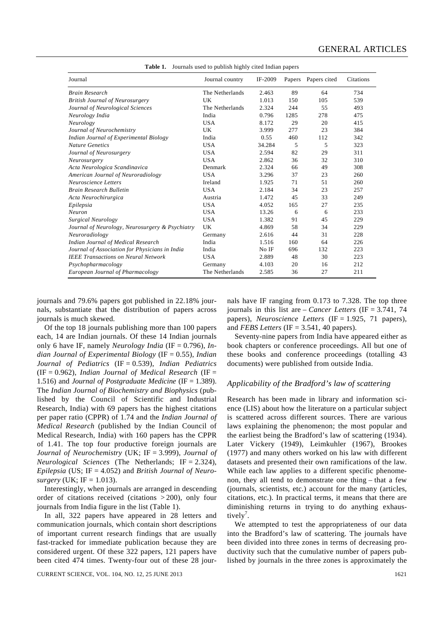| Journal                                         | Journal country | IF-2009 |      | Papers Papers cited | Citations |
|-------------------------------------------------|-----------------|---------|------|---------------------|-----------|
| <b>Brain Research</b>                           | The Netherlands | 2.463   | 89   | 64                  | 734       |
| <b>British Journal of Neurosurgery</b>          | UK              | 1.013   | 150  | 105                 | 539       |
| Journal of Neurological Sciences                | The Netherlands | 2.324   | 244  | 55                  | 493       |
| Neurology India                                 | India           | 0.796   | 1285 | 278                 | 475       |
| Neurology                                       | <b>USA</b>      | 8.172   | 29   | 20                  | 415       |
| Journal of Neurochemistry                       | <b>UK</b>       | 3.999   | 277  | 23                  | 384       |
| Indian Journal of Experimental Biology          | India           | 0.55    | 460  | 112                 | 342       |
| <b>Nature Genetics</b>                          | <b>USA</b>      | 34.284  | 5    | 5                   | 323       |
| Journal of Neurosurgery                         | <b>USA</b>      | 2.594   | 82   | 29                  | 311       |
| Neurosurgery                                    | <b>USA</b>      | 2.862   | 36   | 32                  | 310       |
| Acta Neurologica Scandinavica                   | Denmark         | 2.324   | 66   | 49                  | 308       |
| American Journal of Neuroradiology              | <b>USA</b>      | 3.296   | 37   | 23                  | 260       |
| Neuroscience Letters                            | Ireland         | 1.925   | 71   | 51                  | 260       |
| <b>Brain Research Bulletin</b>                  | <b>USA</b>      | 2.184   | 34   | 23                  | 257       |
| Acta Neurochirurgica                            | Austria         | 1.472   | 45   | 33                  | 249       |
| Epilepsia                                       | <b>USA</b>      | 4.052   | 165  | 27                  | 235       |
| Neuron                                          | <b>USA</b>      | 13.26   | 6    | 6                   | 233       |
| Surgical Neurology                              | <b>USA</b>      | 1.382   | 91   | 45                  | 229       |
| Journal of Neurology, Neurosurgery & Psychiatry | UK              | 4.869   | 58   | 34                  | 229       |
| Neuroradiology                                  | Germany         | 2.616   | 44   | 31                  | 228       |
| Indian Journal of Medical Research              | India           | 1.516   | 160  | 64                  | 226       |
| Journal of Association for Physicians in India  | India           | No IF   | 696  | 132                 | 223       |
| <b>IEEE Transactions on Neural Network</b>      | <b>USA</b>      | 2.889   | 48   | 30                  | 223       |
| Psychopharmacology                              | Germany         | 4.103   | 20   | 16                  | 212       |
| European Journal of Pharmacology                | The Netherlands | 2.585   | 36   | 27                  | 211       |

**Table 1.** Journals used to publish highly cited Indian papers

journals and 79.6% papers got published in 22.18% journals, substantiate that the distribution of papers across journals is much skewed.

 Of the top 18 journals publishing more than 100 papers each, 14 are Indian journals. Of these 14 Indian journals only 6 have IF, namely *Neurology India* (IF = 0.796), *Indian Journal of Experimental Biology* (IF = 0.55), *Indian Journal of Pediatrics* (IF = 0.539), *Indian Pediatrics* (IF = 0.962), *Indian Journal of Medical Research* (IF = 1.516) and *Journal of Postgraduate Medicine* (IF = 1.389). The *Indian Journal of Biochemistry and Biophysics* (published by the Council of Scientific and Industrial Research, India) with 69 papers has the highest citations per paper ratio (CPPR) of 1.74 and the *Indian Journal of Medical Research* (published by the Indian Council of Medical Research, India) with 160 papers has the CPPR of 1.41. The top four productive foreign journals are *Journal of Neurochemistry* (UK; IF = 3.999), *Journal of Neurological Sciences* (The Netherlands; IF = 2.324), *Epilepsia* (US; IF = 4.052) and *British Journal of Neurosurgery* (UK; IF = 1.013).

 Interestingly, when journals are arranged in descending order of citations received (citations > 200), only four journals from India figure in the list (Table 1).

 In all, 322 papers have appeared in 28 letters and communication journals, which contain short descriptions of important current research findings that are usually fast-tracked for immediate publication because they are considered urgent. Of these 322 papers, 121 papers have been cited 474 times. Twenty-four out of these 28 jour-

CURRENT SCIENCE, VOL. 104, NO. 12, 25 JUNE 2013 1621 1621

nals have IF ranging from 0.173 to 7.328. The top three journals in this list are – *Cancer Letters* (IF = 3.741, 74 papers), *Neuroscience Letters* (IF = 1.925, 71 papers), and *FEBS Letters* (IF = 3.541, 40 papers).

 Seventy-nine papers from India have appeared either as book chapters or conference proceedings. All but one of these books and conference proceedings (totalling 43 documents) were published from outside India.

## *Applicability of the Bradford's law of scattering*

Research has been made in library and information science (LIS) about how the literature on a particular subject is scattered across different sources. There are various laws explaining the phenomenon; the most popular and the earliest being the Bradford's law of scattering (1934). Later Vickery (1949), Leimkuhler (1967), Brookes (1977) and many others worked on his law with different datasets and presented their own ramifications of the law. While each law applies to a different specific phenomenon, they all tend to demonstrate one thing – that a few (journals, scientists, etc.) account for the many (articles, citations, etc.). In practical terms, it means that there are diminishing returns in trying to do anything exhaustively<sup>7</sup>.

 We attempted to test the appropriateness of our data into the Bradford's law of scattering. The journals have been divided into three zones in terms of decreasing productivity such that the cumulative number of papers published by journals in the three zones is approximately the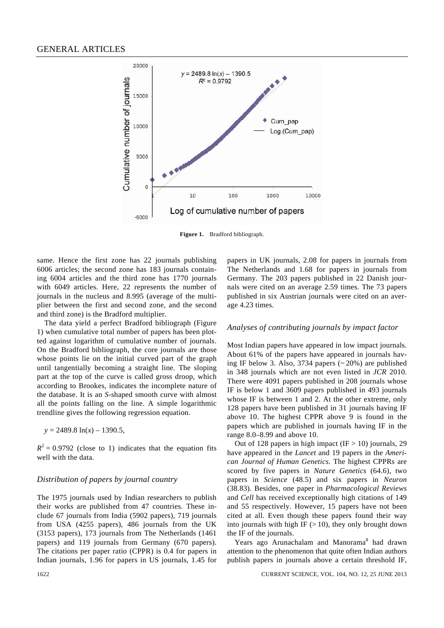

**Figure 1.** Bradford bibliograph.

same. Hence the first zone has 22 journals publishing 6006 articles; the second zone has 183 journals containing 6004 articles and the third zone has 1770 journals with 6049 articles. Here, 22 represents the number of journals in the nucleus and 8.995 (average of the multiplier between the first and second zone, and the second and third zone) is the Bradford multiplier.

 The data yield a perfect Bradford bibliograph (Figure 1) when cumulative total number of papers has been plotted against logarithm of cumulative number of journals. On the Bradford bibliograph, the core journals are those whose points lie on the initial curved part of the graph until tangentially becoming a straight line. The sloping part at the top of the curve is called gross droop, which according to Brookes, indicates the incomplete nature of the database. It is an *S*-shaped smooth curve with almost all the points falling on the line. A simple logarithmic trendline gives the following regression equation.

 $y = 2489.8 \ln(x) - 1390.5$ ,

 $R<sup>2</sup> = 0.9792$  (close to 1) indicates that the equation fits well with the data.

#### *Distribution of papers by journal country*

The 1975 journals used by Indian researchers to publish their works are published from 47 countries. These include 67 journals from India (5902 papers), 719 journals from USA (4255 papers), 486 journals from the UK (3153 papers), 173 journals from The Netherlands (1461 papers) and 119 journals from Germany (670 papers). The citations per paper ratio (CPPR) is 0.4 for papers in Indian journals, 1.96 for papers in US journals, 1.45 for papers in UK journals, 2.08 for papers in journals from The Netherlands and 1.68 for papers in journals from Germany. The 203 papers published in 22 Danish journals were cited on an average 2.59 times. The 73 papers published in six Austrian journals were cited on an average 4.23 times.

#### *Analyses of contributing journals by impact factor*

Most Indian papers have appeared in low impact journals. About 61% of the papers have appeared in journals having IF below 3. Also, 3734 papers  $(20\%)$  are published in 348 journals which are not even listed in *JCR* 2010. There were 4091 papers published in 208 journals whose IF is below 1 and 3609 papers published in 493 journals whose IF is between 1 and 2. At the other extreme, only 128 papers have been published in 31 journals having IF above 10. The highest CPPR above 9 is found in the papers which are published in journals having IF in the range 8.0–8.99 and above 10.

Out of 128 papers in high impact  $(IF > 10)$  journals, 29 have appeared in the *Lancet* and 19 papers in the *American Journal of Human Genetics*. The highest CPPRs are scored by five papers in *Nature Genetics* (64.6), two papers in *Science* (48.5) and six papers in *Neuron* (38.83). Besides, one paper in *Pharmacological Reviews* and *Cell* has received exceptionally high citations of 149 and 55 respectively. However, 15 papers have not been cited at all. Even though these papers found their way into journals with high IF  $(>10)$ , they only brought down the IF of the journals.

Years ago Arunachalam and Manorama<sup>8</sup> had drawn attention to the phenomenon that quite often Indian authors publish papers in journals above a certain threshold IF,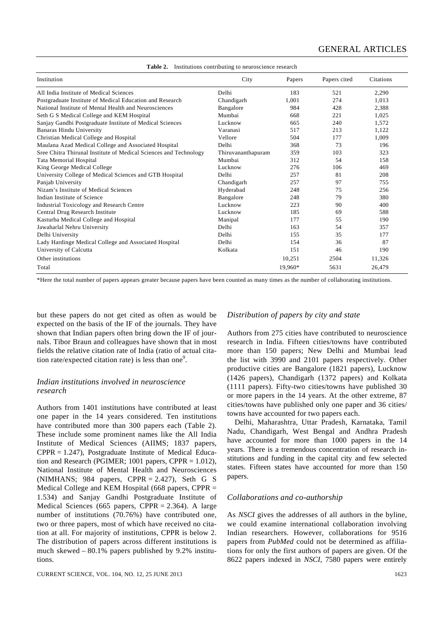| Institution                                                       | City               | Papers  | Papers cited | Citations |  |  |
|-------------------------------------------------------------------|--------------------|---------|--------------|-----------|--|--|
| All India Institute of Medical Sciences                           | Delhi              | 183     | 521          | 2,290     |  |  |
| Postgraduate Institute of Medical Education and Research          | Chandigarh         | 1,001   | 274          | 1,013     |  |  |
| National Institute of Mental Health and Neurosciences             | Bangalore          | 984     | 428          | 2,388     |  |  |
| Seth G S Medical College and KEM Hospital                         | Mumbai             | 668     | 221          | 1,025     |  |  |
| Sanjay Gandhi Postgraduate Institute of Medical Sciences          | Lucknow            | 665     | 240          | 1,572     |  |  |
| <b>Banaras Hindu University</b>                                   | Varanasi           | 517     | 213          | 1,122     |  |  |
| Christian Medical College and Hospital                            | Vellore            | 504     | 177          | 1,009     |  |  |
| Maulana Azad Medical College and Associated Hospital              | Delhi              | 368     | 73           | 196       |  |  |
| Sree Chitra Thirunal Institute of Medical Sciences and Technology | Thiruvananthapuram | 359     | 103          | 323       |  |  |
| Tata Memorial Hospital                                            | Mumbai             | 312     | 54           | 158       |  |  |
| King George Medical College                                       | Lucknow            | 276     | 106          | 469       |  |  |
| University College of Medical Sciences and GTB Hospital           | Delhi              | 257     | 81           | 208       |  |  |
| Panjab University                                                 | Chandigarh         | 257     | 97           | 755       |  |  |
| Nizam's Institute of Medical Sciences                             | Hyderabad          | 248     | 75           | 256       |  |  |
| Indian Institute of Science                                       | Bangalore          | 248     | 79           | 380       |  |  |
| Industrial Toxicology and Research Centre                         | Lucknow            | 223     | 90           | 400       |  |  |
| Central Drug Research Institute                                   | Lucknow            | 185     | 69           | 588       |  |  |
| Kasturba Medical College and Hospital                             | Manipal            | 177     | 55           | 190       |  |  |
| Jawaharlal Nehru University                                       | Delhi              | 163     | 54           | 357       |  |  |
| Delhi University                                                  | Delhi              | 155     | 35           | 177       |  |  |
| Lady Hardinge Medical College and Associated Hospital             | Delhi              | 154     | 36           | 87        |  |  |
| University of Calcutta                                            | Kolkata            | 151     | 46           | 190       |  |  |
| Other institutions                                                |                    | 10,251  | 2504         | 11,326    |  |  |
| Total                                                             |                    | 19,960* | 5631         | 26,479    |  |  |

**Table 2.** Institutions contributing to neuroscience research

\*Here the total number of papers appears greater because papers have been counted as many times as the number of collaborating institutions.

but these papers do not get cited as often as would be expected on the basis of the IF of the journals. They have shown that Indian papers often bring down the IF of journals. Tibor Braun and colleagues have shown that in most fields the relative citation rate of India (ratio of actual citation rate/expected citation rate) is less than one<sup>9</sup>.

# *Indian institutions involved in neuroscience research*

Authors from 1401 institutions have contributed at least one paper in the 14 years considered. Ten institutions have contributed more than 300 papers each (Table 2). These include some prominent names like the All India Institute of Medical Sciences (AIIMS; 1837 papers, CPPR = 1.247), Postgraduate Institute of Medical Education and Research (PGIMER; 1001 papers, CPPR  $= 1.012$ ), National Institute of Mental Health and Neurosciences (NIMHANS; 984 papers, CPPR  $= 2.427$ ), Seth G S Medical College and KEM Hospital (668 papers, CPPR  $=$ 1.534) and Sanjay Gandhi Postgraduate Institute of Medical Sciences (665 papers, CPPR  $= 2.364$ ). A large number of institutions (70.76%) have contributed one, two or three papers, most of which have received no citation at all. For majority of institutions, CPPR is below 2. The distribution of papers across different institutions is much skewed – 80.1% papers published by 9.2% institutions.

# *Distribution of papers by city and state*

Authors from 275 cities have contributed to neuroscience research in India. Fifteen cities/towns have contributed more than 150 papers; New Delhi and Mumbai lead the list with 3990 and 2101 papers respectively. Other productive cities are Bangalore (1821 papers), Lucknow (1426 papers), Chandigarh (1372 papers) and Kolkata (1111 papers). Fifty-two cities/towns have published 30 or more papers in the 14 years. At the other extreme, 87 cities/towns have published only one paper and 36 cities/ towns have accounted for two papers each.

 Delhi, Maharashtra, Uttar Pradesh, Karnataka, Tamil Nadu, Chandigarh, West Bengal and Andhra Pradesh have accounted for more than 1000 papers in the 14 years. There is a tremendous concentration of research institutions and funding in the capital city and few selected states. Fifteen states have accounted for more than 150 papers.

#### *Collaborations and co-authorship*

As *NSCI* gives the addresses of all authors in the byline, we could examine international collaboration involving Indian researchers. However, collaborations for 9516 papers from *PubMed* could not be determined as affiliations for only the first authors of papers are given. Of the 8622 papers indexed in *NSCI*, 7580 papers were entirely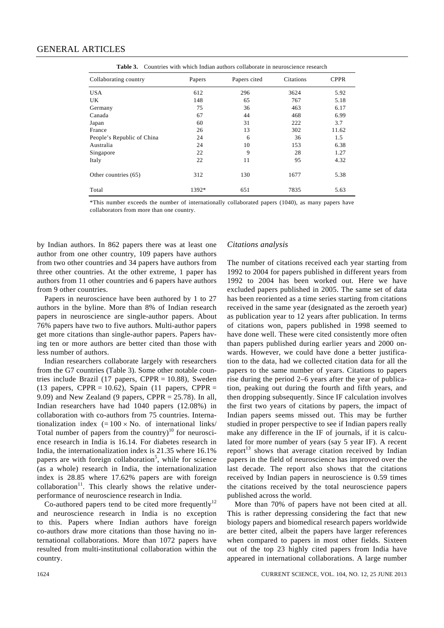| Collaborating country      | Papers | Papers cited | Citations | <b>CPPR</b> |
|----------------------------|--------|--------------|-----------|-------------|
|                            |        |              |           |             |
| <b>USA</b>                 | 612    | 296          | 3624      | 5.92        |
| UK.                        | 148    | 65           | 767       | 5.18        |
| Germany                    | 75     | 36           | 463       | 6.17        |
| Canada                     | 67     | 44           | 468       | 6.99        |
| Japan                      | 60     | 31           | 222       | 3.7         |
| France                     | 26     | 13           | 302       | 11.62       |
| People's Republic of China | 24     | 6            | 36        | 1.5         |
| Australia                  | 24     | 10           | 153       | 6.38        |
| Singapore                  | 22     | 9            | 28        | 1.27        |
| Italy                      | 22     | 11           | 95        | 4.32        |
| Other countries (65)       | 312    | 130          | 1677      | 5.38        |
| Total                      | 1392*  | 651          | 7835      | 5.63        |

**Table 3.** Countries with which Indian authors collaborate in neuroscience research

\*This number exceeds the number of internationally collaborated papers (1040), as many papers have collaborators from more than one country.

by Indian authors. In 862 papers there was at least one author from one other country, 109 papers have authors from two other countries and 34 papers have authors from three other countries. At the other extreme, 1 paper has authors from 11 other countries and 6 papers have authors from 9 other countries.

 Papers in neuroscience have been authored by 1 to 27 authors in the byline. More than 8% of Indian research papers in neuroscience are single-author papers. About 76% papers have two to five authors. Multi-author papers get more citations than single-author papers. Papers having ten or more authors are better cited than those with less number of authors.

 Indian researchers collaborate largely with researchers from the G7 countries (Table 3). Some other notable countries include Brazil (17 papers, CPPR =  $10.88$ ), Sweden (13 papers, CPPR = 10.62), Spain (11 papers, CPPR = 9.09) and New Zealand (9 papers, CPPR  $= 25.78$ ). In all, Indian researchers have had 1040 papers (12.08%) in collaboration with co-authors from 75 countries. Internationalization index  $(=100 \times No.$  of international links/ Total number of papers from the country $10^1$  for neuroscience research in India is 16.14. For diabetes research in India, the internationalization index is 21.35 where 16.1% papers are with foreign collaboration<sup>5</sup>, while for science (as a whole) research in India, the internationalization index is 28.85 where 17.62% papers are with foreign  $collaboration<sup>11</sup>$ . This clearly shows the relative underperformance of neuroscience research in India.

Co-authored papers tend to be cited more frequently<sup>12</sup> and neuroscience research in India is no exception to this. Papers where Indian authors have foreign co-authors draw more citations than those having no international collaborations. More than 1072 papers have resulted from multi-institutional collaboration within the country.

#### *Citations analysis*

The number of citations received each year starting from 1992 to 2004 for papers published in different years from 1992 to 2004 has been worked out. Here we have excluded papers published in 2005. The same set of data has been reoriented as a time series starting from citations received in the same year (designated as the zeroeth year) as publication year to 12 years after publication. In terms of citations won, papers published in 1998 seemed to have done well. These were cited consistently more often than papers published during earlier years and 2000 onwards. However, we could have done a better justification to the data, had we collected citation data for all the papers to the same number of years. Citations to papers rise during the period 2–6 years after the year of publication, peaking out during the fourth and fifth years, and then dropping subsequently. Since IF calculation involves the first two years of citations by papers, the impact of Indian papers seems missed out. This may be further studied in proper perspective to see if Indian papers really make any difference in the IF of journals, if it is calculated for more number of years (say 5 year IF). A recent report<sup>13</sup> shows that average citation received by Indian papers in the field of neuroscience has improved over the last decade. The report also shows that the citations received by Indian papers in neuroscience is 0.59 times the citations received by the total neuroscience papers published across the world.

 More than 70% of papers have not been cited at all. This is rather depressing considering the fact that new biology papers and biomedical research papers worldwide are better cited, albeit the papers have larger references when compared to papers in most other fields. Sixteen out of the top 23 highly cited papers from India have appeared in international collaborations. A large number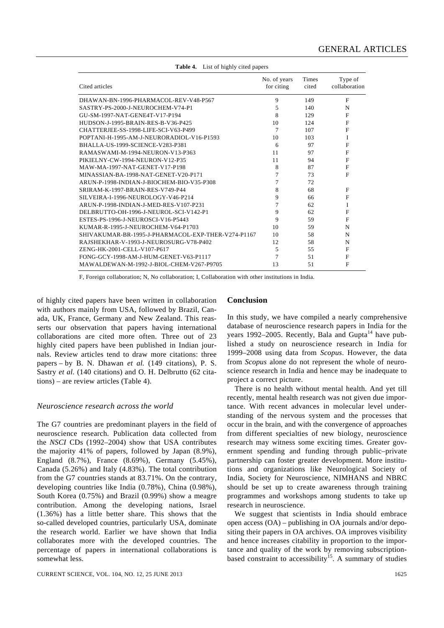| Cited articles                                     | No. of years<br>for citing | Times<br>cited | Type of<br>collaboration |
|----------------------------------------------------|----------------------------|----------------|--------------------------|
| DHAWAN-BN-1996-PHARMACOL-REV-V48-P567              | 9                          | 149            | F                        |
| SASTRY-PS-2000-J-NEUROCHEM-V74-P1                  | 5                          | 140            | N                        |
| GU-SM-1997-NAT-GENE4T-V17-P194                     | 8                          | 129            | F                        |
| HUDSON-J-1995-BRAIN-RES-B-V36-P425                 | 10                         | 124            | F                        |
| CHATTERJEE-SS-1998-LIFE-SCI-V63-P499               | 7                          | 107            | $\mathbf{F}$             |
| POPTANI-H-1995-AM-J-NEURORADIOL-V16-P1593          | 10                         | 103            | I                        |
| BHALLA-US-1999-SCIENCE-V283-P381                   | 6                          | 97             | F                        |
| RAMASWAMI-M-1994-NEURON-V13-P363                   | 11                         | 97             | F                        |
| PIKIELNY-CW-1994-NEURON-V12-P35                    | 11                         | 94             | F                        |
| MAW-MA-1997-NAT-GENET-V17-P198                     | 8                          | 87             | $\mathbf{F}$             |
| MINASSIAN-BA-1998-NAT-GENET-V20-P171               | 7                          | 73             | $\mathbf{F}$             |
| ARUN-P-1998-INDIAN-J-BIOCHEM-BIO-V35-P308          | 7                          | 72             |                          |
| SRIRAM-K-1997-BRAIN-RES-V749-P44                   | 8                          | 68             | F                        |
| SILVEIRA-I-1996-NEUROLOGY-V46-P214                 | 9                          | 66             | $\mathbf{F}$             |
| ARUN-P-1998-INDIAN-J-MED-RES-V107-P231             | 7                          | 62             | I                        |
| DELBRUTTO-OH-1996-J-NEUROL-SCI-V142-P1             | 9                          | 62             | F                        |
| ESTES-PS-1996-J-NEUROSCI-V16-P5443                 | 9                          | 59             | $\mathbf{F}$             |
| KUMAR-R-1995-J-NEUROCHEM-V64-P1703                 | 10                         | 59             | N                        |
| SHIVAKUMAR-BR-1995-J-PHARMACOL-EXP-THER-V274-P1167 | 10                         | 58             | N                        |
| RAJSHEKHAR-V-1993-J-NEUROSURG-V78-P402             | 12                         | 58             | N                        |
| ZENG-HK-2001-CELL-V107-P617                        | 5                          | 55             | $\mathbf{F}$             |
| FONG-GCY-1998-AM-J-HUM-GENET-V63-P1117             | $\overline{7}$             | 51             | $\mathbf{F}$             |
| MAWALDEWAN-M-1992-J-BIOL-CHEM-V267-P9705           | 13                         | 51             | F                        |
|                                                    |                            |                |                          |

**Table 4.** List of highly cited papers

F, Foreign collaboration; N, No collaboration; I, Collaboration with other institutions in India.

of highly cited papers have been written in collaboration with authors mainly from USA, followed by Brazil, Canada, UK, France, Germany and New Zealand. This reasserts our observation that papers having international collaborations are cited more often. Three out of 23 highly cited papers have been published in Indian journals. Review articles tend to draw more citations: three papers – by B. N. Dhawan *et al.* (149 citations), P. S. Sastry *et al.* (140 citations) and O. H. Delbrutto (62 citations) – are review articles (Table 4).

# *Neuroscience research across the world*

The G7 countries are predominant players in the field of neuroscience research. Publication data collected from the *NSCI* CDs (1992–2004) show that USA contributes the majority 41% of papers, followed by Japan (8.9%), England (8.7%), France (8.69%), Germany (5.45%), Canada (5.26%) and Italy (4.83%). The total contribution from the G7 countries stands at 83.71%. On the contrary, developing countries like India (0.78%), China (0.98%), South Korea (0.75%) and Brazil (0.99%) show a meagre contribution. Among the developing nations, Israel (1.36%) has a little better share. This shows that the so-called developed countries, particularly USA, dominate the research world. Earlier we have shown that India collaborates more with the developed countries. The percentage of papers in international collaborations is somewhat less.

#### **Conclusion**

In this study, we have compiled a nearly comprehensive database of neuroscience research papers in India for the years 1992–2005. Recently, Bala and Gupta<sup>14</sup> have published a study on neuroscience research in India for 1999–2008 using data from *Scopus*. However, the data from *Scopus* alone do not represent the whole of neuroscience research in India and hence may be inadequate to project a correct picture.

 There is no health without mental health. And yet till recently, mental health research was not given due importance. With recent advances in molecular level understanding of the nervous system and the processes that occur in the brain, and with the convergence of approaches from different specialties of new biology, neuroscience research may witness some exciting times. Greater government spending and funding through public–private partnership can foster greater development. More institutions and organizations like Neurological Society of India, Society for Neuroscience, NIMHANS and NBRC should be set up to create awareness through training programmes and workshops among students to take up research in neuroscience.

 We suggest that scientists in India should embrace open access (OA) – publishing in OA journals and/or depositing their papers in OA archives. OA improves visibility and hence increases citability in proportion to the importance and quality of the work by removing subscriptionbased constraint to accessibility<sup>15</sup>. A summary of studies